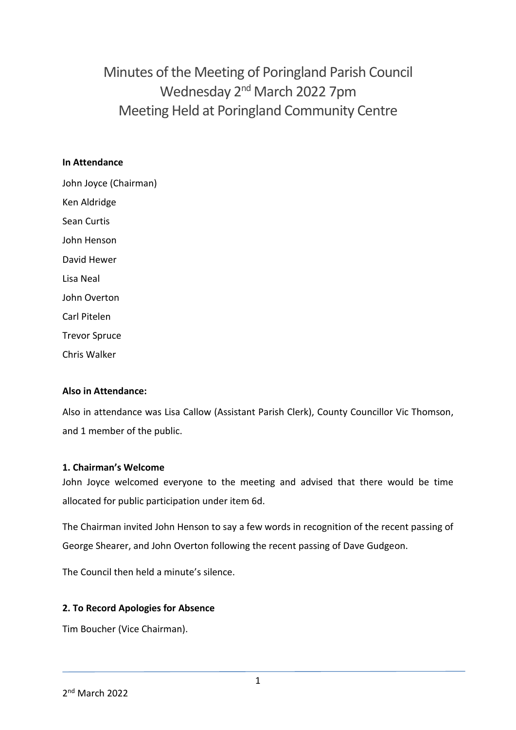Minutes of the Meeting of Poringland Parish Council Wednesday 2<sup>nd</sup> March 2022 7pm Meeting Held at Poringland Community Centre

## **In Attendance**

John Joyce (Chairman) Ken Aldridge Sean Curtis John Henson David Hewer Lisa Neal John Overton Carl Pitelen Trevor Spruce Chris Walker

## **Also in Attendance:**

Also in attendance was Lisa Callow (Assistant Parish Clerk), County Councillor Vic Thomson, and 1 member of the public.

#### **1. Chairman's Welcome**

John Joyce welcomed everyone to the meeting and advised that there would be time allocated for public participation under item 6d.

The Chairman invited John Henson to say a few words in recognition of the recent passing of George Shearer, and John Overton following the recent passing of Dave Gudgeon.

The Council then held a minute's silence.

#### **2. To Record Apologies for Absence**

Tim Boucher (Vice Chairman).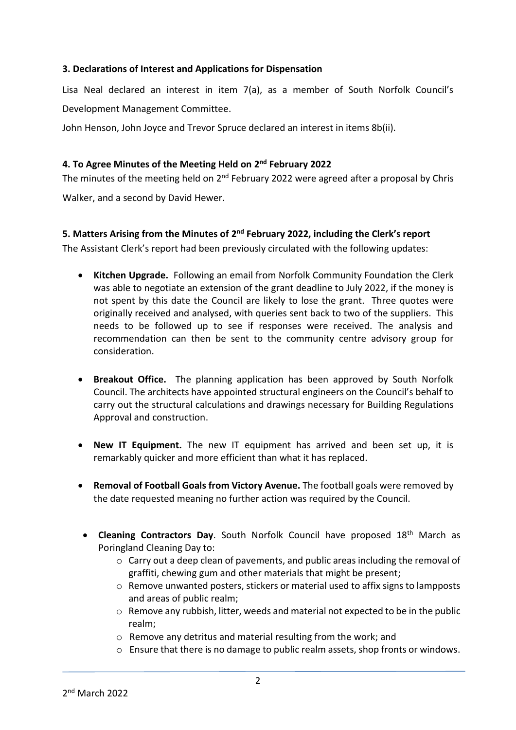## **3. Declarations of Interest and Applications for Dispensation**

Lisa Neal declared an interest in item 7(a), as a member of South Norfolk Council's Development Management Committee.

John Henson, John Joyce and Trevor Spruce declared an interest in items 8b(ii).

## **4. To Agree Minutes of the Meeting Held on 2 nd February 2022**

The minutes of the meeting held on 2<sup>nd</sup> February 2022 were agreed after a proposal by Chris Walker, and a second by David Hewer.

# **5. Matters Arising from the Minutes of 2<sup>nd</sup> February 2022, including the Clerk's report**

The Assistant Clerk's report had been previously circulated with the following updates:

- **Kitchen Upgrade.** Following an email from Norfolk Community Foundation the Clerk was able to negotiate an extension of the grant deadline to July 2022, if the money is not spent by this date the Council are likely to lose the grant. Three quotes were originally received and analysed, with queries sent back to two of the suppliers. This needs to be followed up to see if responses were received. The analysis and recommendation can then be sent to the community centre advisory group for consideration.
- **Breakout Office.** The planning application has been approved by South Norfolk Council. The architects have appointed structural engineers on the Council's behalf to carry out the structural calculations and drawings necessary for Building Regulations Approval and construction.
- **New IT Equipment.** The new IT equipment has arrived and been set up, it is remarkably quicker and more efficient than what it has replaced.
- **Removal of Football Goals from Victory Avenue.** The football goals were removed by the date requested meaning no further action was required by the Council.
- **Cleaning Contractors Day**. South Norfolk Council have proposed 18<sup>th</sup> March as Poringland Cleaning Day to:
	- o Carry out a deep clean of pavements, and public areas including the removal of graffiti, chewing gum and other materials that might be present;
	- $\circ$  Remove unwanted posters, stickers or material used to affix signs to lampposts and areas of public realm;
	- o Remove any rubbish, litter, weeds and material not expected to be in the public realm;
	- o Remove any detritus and material resulting from the work; and
	- o Ensure that there is no damage to public realm assets, shop fronts or windows.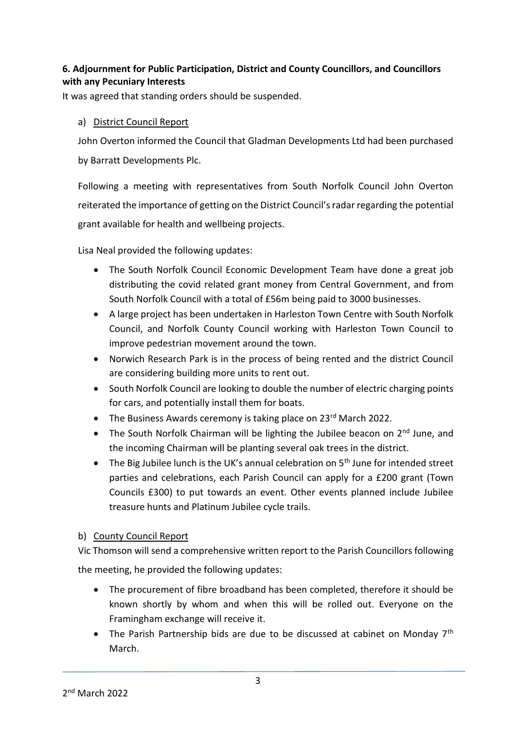# **6. Adjournment for Public Participation, District and County Councillors, and Councillors with any Pecuniary Interests**

It was agreed that standing orders should be suspended.

# a) District Council Report

John Overton informed the Council that Gladman Developments Ltd had been purchased by Barratt Developments Plc.

Following a meeting with representatives from South Norfolk Council John Overton reiterated the importance of getting on the District Council's radar regarding the potential grant available for health and wellbeing projects.

Lisa Neal provided the following updates:

- The South Norfolk Council Economic Development Team have done a great job distributing the covid related grant money from Central Government, and from South Norfolk Council with a total of £56m being paid to 3000 businesses.
- A large project has been undertaken in Harleston Town Centre with South Norfolk Council, and Norfolk County Council working with Harleston Town Council to improve pedestrian movement around the town.
- Norwich Research Park is in the process of being rented and the district Council are considering building more units to rent out.
- South Norfolk Council are looking to double the number of electric charging points for cars, and potentially install them for boats.
- The Business Awards ceremony is taking place on 23<sup>rd</sup> March 2022.
- The South Norfolk Chairman will be lighting the Jubilee beacon on  $2<sup>nd</sup>$  June, and the incoming Chairman will be planting several oak trees in the district.
- The Big Jubilee lunch is the UK's annual celebration on  $5<sup>th</sup>$  June for intended street parties and celebrations, each Parish Council can apply for a £200 grant (Town Councils £300) to put towards an event. Other events planned include Jubilee treasure hunts and Platinum Jubilee cycle trails.

# b) County Council Report

Vic Thomson will send a comprehensive written report to the Parish Councillors following the meeting, he provided the following updates:

- The procurement of fibre broadband has been completed, therefore it should be known shortly by whom and when this will be rolled out. Everyone on the Framingham exchange will receive it.
- The Parish Partnership bids are due to be discussed at cabinet on Monday  $7<sup>th</sup>$ March.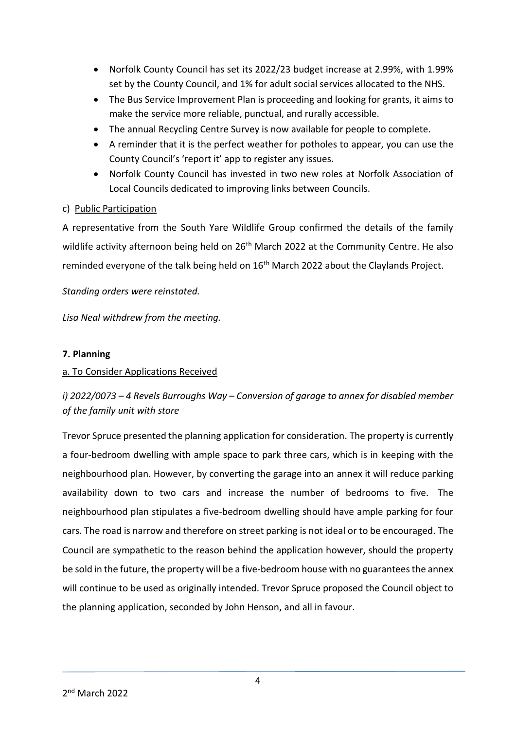- Norfolk County Council has set its 2022/23 budget increase at 2.99%, with 1.99% set by the County Council, and 1% for adult social services allocated to the NHS.
- The Bus Service Improvement Plan is proceeding and looking for grants, it aims to make the service more reliable, punctual, and rurally accessible.
- The annual Recycling Centre Survey is now available for people to complete.
- A reminder that it is the perfect weather for potholes to appear, you can use the County Council's 'report it' app to register any issues.
- Norfolk County Council has invested in two new roles at Norfolk Association of Local Councils dedicated to improving links between Councils.

## c) Public Participation

A representative from the South Yare Wildlife Group confirmed the details of the family wildlife activity afternoon being held on 26<sup>th</sup> March 2022 at the Community Centre. He also reminded everyone of the talk being held on 16<sup>th</sup> March 2022 about the Claylands Project.

## *Standing orders were reinstated.*

*Lisa Neal withdrew from the meeting.* 

## **7. Planning**

## a. To Consider Applications Received

# *i) 2022/0073 – 4 Revels Burroughs Way – Conversion of garage to annex for disabled member of the family unit with store*

Trevor Spruce presented the planning application for consideration. The property is currently a four-bedroom dwelling with ample space to park three cars, which is in keeping with the neighbourhood plan. However, by converting the garage into an annex it will reduce parking availability down to two cars and increase the number of bedrooms to five. The neighbourhood plan stipulates a five-bedroom dwelling should have ample parking for four cars. The road is narrow and therefore on street parking is not ideal or to be encouraged. The Council are sympathetic to the reason behind the application however, should the property be sold in the future, the property will be a five-bedroom house with no guarantees the annex will continue to be used as originally intended. Trevor Spruce proposed the Council object to the planning application, seconded by John Henson, and all in favour.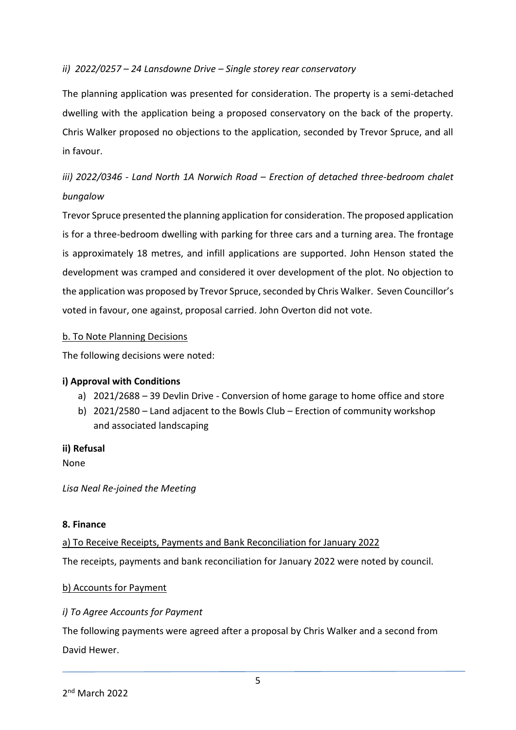## *ii) 2022/0257 – 24 Lansdowne Drive – Single storey rear conservatory*

The planning application was presented for consideration. The property is a semi-detached dwelling with the application being a proposed conservatory on the back of the property. Chris Walker proposed no objections to the application, seconded by Trevor Spruce, and all in favour.

# *iii)* 2022/0346 - Land North 1A Norwich Road – Erection of detached three-bedroom chalet *bungalow*

Trevor Spruce presented the planning application for consideration. The proposed application is for a three-bedroom dwelling with parking for three cars and a turning area. The frontage is approximately 18 metres, and infill applications are supported. John Henson stated the development was cramped and considered it over development of the plot. No objection to the application was proposed by Trevor Spruce, seconded by Chris Walker. Seven Councillor's voted in favour, one against, proposal carried. John Overton did not vote.

## b. To Note Planning Decisions

The following decisions were noted:

## **i) Approval with Conditions**

- a) 2021/2688 39 Devlin Drive Conversion of home garage to home office and store
- b) 2021/2580 Land adjacent to the Bowls Club Erection of community workshop and associated landscaping

#### **ii) Refusal**

None

*Lisa Neal Re-joined the Meeting*

#### **8. Finance**

a) To Receive Receipts, Payments and Bank Reconciliation for January 2022 The receipts, payments and bank reconciliation for January 2022 were noted by council.

## b) Accounts for Payment

## *i) To Agree Accounts for Payment*

The following payments were agreed after a proposal by Chris Walker and a second from David Hewer.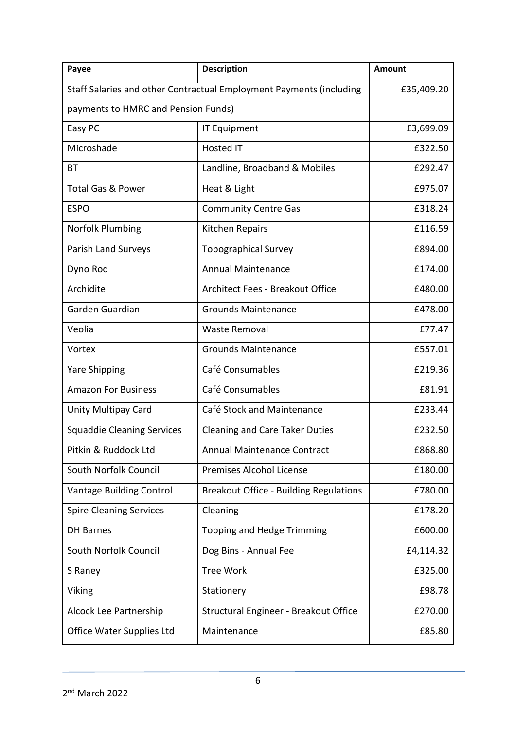| Payee                                                                             | <b>Description</b>                            | Amount    |  |
|-----------------------------------------------------------------------------------|-----------------------------------------------|-----------|--|
| Staff Salaries and other Contractual Employment Payments (including<br>£35,409.20 |                                               |           |  |
| payments to HMRC and Pension Funds)                                               |                                               |           |  |
| Easy PC                                                                           | <b>IT Equipment</b>                           | £3,699.09 |  |
| Microshade                                                                        | Hosted IT                                     | £322.50   |  |
| <b>BT</b>                                                                         | Landline, Broadband & Mobiles                 | £292.47   |  |
| <b>Total Gas &amp; Power</b>                                                      | Heat & Light                                  | £975.07   |  |
| <b>ESPO</b>                                                                       | <b>Community Centre Gas</b>                   | £318.24   |  |
| Norfolk Plumbing                                                                  | Kitchen Repairs                               | £116.59   |  |
| Parish Land Surveys                                                               | <b>Topographical Survey</b>                   | £894.00   |  |
| Dyno Rod                                                                          | <b>Annual Maintenance</b>                     | £174.00   |  |
| Archidite                                                                         | Architect Fees - Breakout Office              | £480.00   |  |
| Garden Guardian                                                                   | <b>Grounds Maintenance</b>                    | £478.00   |  |
| Veolia                                                                            | <b>Waste Removal</b>                          | £77.47    |  |
| Vortex                                                                            | <b>Grounds Maintenance</b>                    | £557.01   |  |
| <b>Yare Shipping</b>                                                              | Café Consumables                              | £219.36   |  |
| <b>Amazon For Business</b>                                                        | Café Consumables                              | £81.91    |  |
| Unity Multipay Card                                                               | Café Stock and Maintenance                    | £233.44   |  |
| <b>Squaddie Cleaning Services</b>                                                 | <b>Cleaning and Care Taker Duties</b>         | £232.50   |  |
| Pitkin & Ruddock Ltd                                                              | Annual Maintenance Contract                   | £868.80   |  |
| South Norfolk Council                                                             | Premises Alcohol License                      | £180.00   |  |
| Vantage Building Control                                                          | <b>Breakout Office - Building Regulations</b> | £780.00   |  |
| <b>Spire Cleaning Services</b>                                                    | Cleaning                                      | £178.20   |  |
| <b>DH Barnes</b>                                                                  | Topping and Hedge Trimming                    | £600.00   |  |
| South Norfolk Council                                                             | Dog Bins - Annual Fee                         | £4,114.32 |  |
| S Raney                                                                           | <b>Tree Work</b>                              | £325.00   |  |
| Viking                                                                            | Stationery                                    | £98.78    |  |
| Alcock Lee Partnership                                                            | Structural Engineer - Breakout Office         | £270.00   |  |
| Office Water Supplies Ltd                                                         | Maintenance                                   | £85.80    |  |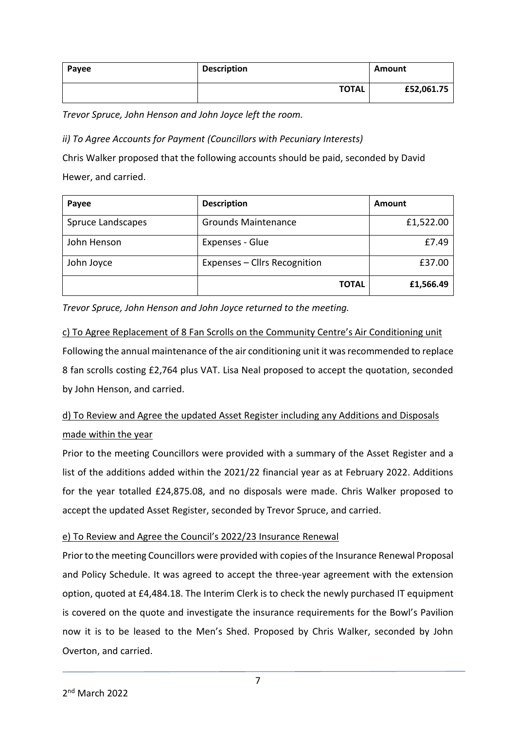| Payee | <b>Description</b> | Amount     |
|-------|--------------------|------------|
|       | <b>TOTAL</b>       | £52,061.75 |

*Trevor Spruce, John Henson and John Joyce left the room.*

*ii) To Agree Accounts for Payment (Councillors with Pecuniary Interests)*

Chris Walker proposed that the following accounts should be paid, seconded by David Hewer, and carried.

| Payee             | <b>Description</b>           | Amount    |
|-------------------|------------------------------|-----------|
| Spruce Landscapes | <b>Grounds Maintenance</b>   | £1,522.00 |
| John Henson       | Expenses - Glue              | £7.49     |
| John Joyce        | Expenses - Cllrs Recognition | £37.00    |
|                   | <b>TOTAL</b>                 | £1,566.49 |

*Trevor Spruce, John Henson and John Joyce returned to the meeting.*

c) To Agree Replacement of 8 Fan Scrolls on the Community Centre's Air Conditioning unit Following the annual maintenance of the air conditioning unit it was recommended to replace 8 fan scrolls costing £2,764 plus VAT. Lisa Neal proposed to accept the quotation, seconded by John Henson, and carried.

# d) To Review and Agree the updated Asset Register including any Additions and Disposals made within the year

Prior to the meeting Councillors were provided with a summary of the Asset Register and a list of the additions added within the 2021/22 financial year as at February 2022. Additions for the year totalled £24,875.08, and no disposals were made. Chris Walker proposed to accept the updated Asset Register, seconded by Trevor Spruce, and carried.

# e) To Review and Agree the Council's 2022/23 Insurance Renewal

Prior to the meeting Councillors were provided with copies of the Insurance Renewal Proposal and Policy Schedule. It was agreed to accept the three-year agreement with the extension option, quoted at £4,484.18. The Interim Clerk is to check the newly purchased IT equipment is covered on the quote and investigate the insurance requirements for the Bowl's Pavilion now it is to be leased to the Men's Shed. Proposed by Chris Walker, seconded by John Overton, and carried.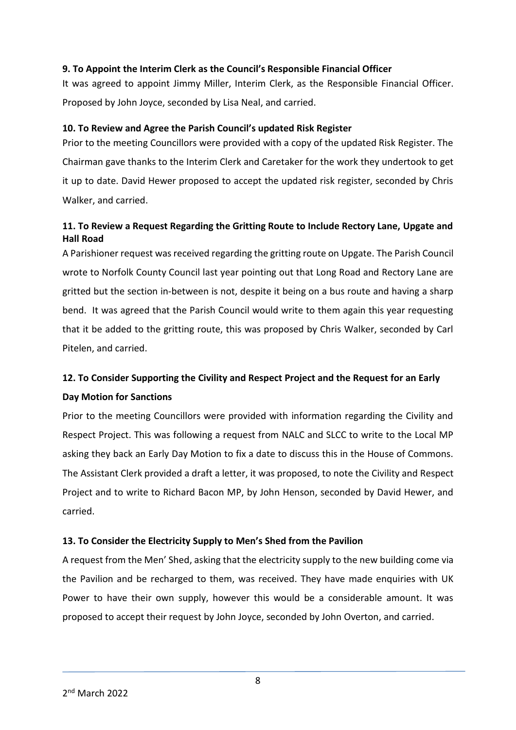## **9. To Appoint the Interim Clerk as the Council's Responsible Financial Officer**

It was agreed to appoint Jimmy Miller, Interim Clerk, as the Responsible Financial Officer. Proposed by John Joyce, seconded by Lisa Neal, and carried.

## **10. To Review and Agree the Parish Council's updated Risk Register**

Prior to the meeting Councillors were provided with a copy of the updated Risk Register. The Chairman gave thanks to the Interim Clerk and Caretaker for the work they undertook to get it up to date. David Hewer proposed to accept the updated risk register, seconded by Chris Walker, and carried.

# **11. To Review a Request Regarding the Gritting Route to Include Rectory Lane, Upgate and Hall Road**

A Parishioner request was received regarding the gritting route on Upgate. The Parish Council wrote to Norfolk County Council last year pointing out that Long Road and Rectory Lane are gritted but the section in-between is not, despite it being on a bus route and having a sharp bend. It was agreed that the Parish Council would write to them again this year requesting that it be added to the gritting route, this was proposed by Chris Walker, seconded by Carl Pitelen, and carried.

# **12. To Consider Supporting the Civility and Respect Project and the Request for an Early Day Motion for Sanctions**

Prior to the meeting Councillors were provided with information regarding the Civility and Respect Project. This was following a request from NALC and SLCC to write to the Local MP asking they back an Early Day Motion to fix a date to discuss this in the House of Commons. The Assistant Clerk provided a draft a letter, it was proposed, to note the Civility and Respect Project and to write to Richard Bacon MP, by John Henson, seconded by David Hewer, and carried.

## **13. To Consider the Electricity Supply to Men's Shed from the Pavilion**

A request from the Men' Shed, asking that the electricity supply to the new building come via the Pavilion and be recharged to them, was received. They have made enquiries with UK Power to have their own supply, however this would be a considerable amount. It was proposed to accept their request by John Joyce, seconded by John Overton, and carried.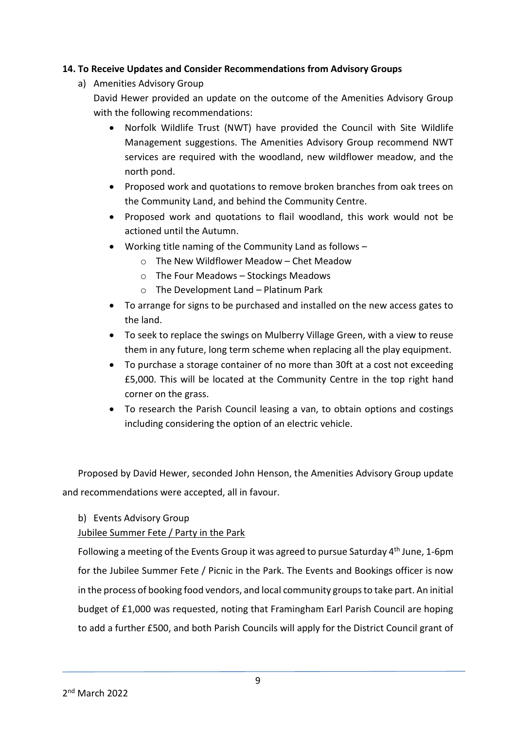## **14. To Receive Updates and Consider Recommendations from Advisory Groups**

- a) Amenities Advisory Group
	- David Hewer provided an update on the outcome of the Amenities Advisory Group with the following recommendations:
		- Norfolk Wildlife Trust (NWT) have provided the Council with Site Wildlife Management suggestions. The Amenities Advisory Group recommend NWT services are required with the woodland, new wildflower meadow, and the north pond.
		- Proposed work and quotations to remove broken branches from oak trees on the Community Land, and behind the Community Centre.
		- Proposed work and quotations to flail woodland, this work would not be actioned until the Autumn.
		- Working title naming of the Community Land as follows
			- o The New Wildflower Meadow Chet Meadow
			- o The Four Meadows Stockings Meadows
			- o The Development Land Platinum Park
		- To arrange for signs to be purchased and installed on the new access gates to the land.
		- To seek to replace the swings on Mulberry Village Green, with a view to reuse them in any future, long term scheme when replacing all the play equipment.
		- To purchase a storage container of no more than 30ft at a cost not exceeding £5,000. This will be located at the Community Centre in the top right hand corner on the grass.
		- To research the Parish Council leasing a van, to obtain options and costings including considering the option of an electric vehicle.

Proposed by David Hewer, seconded John Henson, the Amenities Advisory Group update and recommendations were accepted, all in favour.

b) Events Advisory Group

Jubilee Summer Fete / Party in the Park

Following a meeting of the Events Group it was agreed to pursue Saturday 4<sup>th</sup> June, 1-6pm for the Jubilee Summer Fete / Picnic in the Park. The Events and Bookings officer is now in the process of booking food vendors, and local community groups to take part. An initial budget of £1,000 was requested, noting that Framingham Earl Parish Council are hoping to add a further £500, and both Parish Councils will apply for the District Council grant of